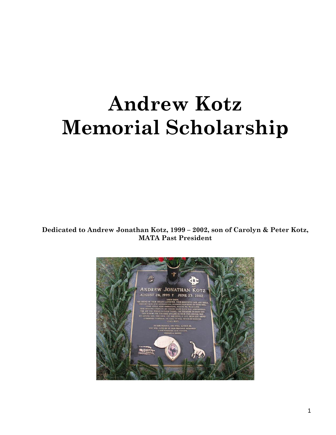# **Andrew Kotz Memorial Scholarship**

**Dedicated to Andrew Jonathan Kotz, 1999 – 2002, son of Carolyn & Peter Kotz, MATA Past President** 

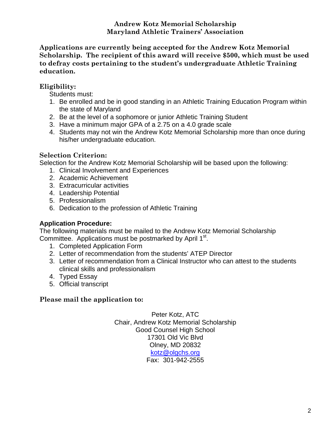## **Andrew Kotz Memorial Scholarship Maryland Athletic Trainers' Association**

**Applications are currently being accepted for the Andrew Kotz Memorial Scholarship. The recipient of this award will receive \$500, which must be used to defray costs pertaining to the student's undergraduate Athletic Training education.** 

## **Eligibility:**

Students must:

- 1. Be enrolled and be in good standing in an Athletic Training Education Program within the state of Maryland
- 2. Be at the level of a sophomore or junior Athletic Training Student
- 3. Have a minimum major GPA of a 2.75 on a 4.0 grade scale
- 4. Students may not win the Andrew Kotz Memorial Scholarship more than once during his/her undergraduate education.

## **Selection Criterion:**

Selection for the Andrew Kotz Memorial Scholarship will be based upon the following:

- 1. Clinical Involvement and Experiences
- 2. Academic Achievement
- 3. Extracurricular activities
- 4. Leadership Potential
- 5. Professionalism
- 6. Dedication to the profession of Athletic Training

## **Application Procedure:**

The following materials must be mailed to the Andrew Kotz Memorial Scholarship Committee. Applications must be postmarked by April 1<sup>st</sup>.

- 1. Completed Application Form
- 2. Letter of recommendation from the students' ATEP Director
- 3. Letter of recommendation from a Clinical Instructor who can attest to the students clinical skills and professionalism
- 4. Typed Essay
- 5. Official transcript

## **Please mail the application to:**

Peter Kotz, ATC Chair, Andrew Kotz Memorial Scholarship Good Counsel High School 17301 Old Vic Blvd Olney, MD 20832 kotz@olgchs.org Fax: 301-942-2555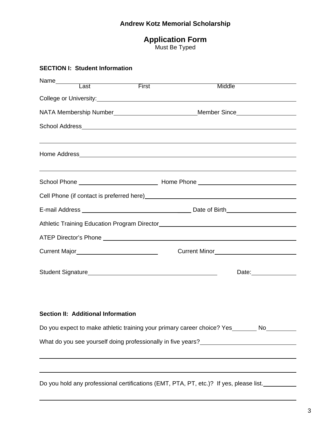## **Andrew Kotz Memorial Scholarship**

# **Application Form**

Must Be Typed

## **SECTION I: Student Information**

L

| Name Last Last 2002                    |       |                                                                                                                                                                            |             |  |  |  |  |
|----------------------------------------|-------|----------------------------------------------------------------------------------------------------------------------------------------------------------------------------|-------------|--|--|--|--|
|                                        | First | Middle                                                                                                                                                                     |             |  |  |  |  |
|                                        |       |                                                                                                                                                                            |             |  |  |  |  |
|                                        |       | NATA Membership Number_____________________________Member Since_________________                                                                                           |             |  |  |  |  |
|                                        |       |                                                                                                                                                                            |             |  |  |  |  |
|                                        |       |                                                                                                                                                                            |             |  |  |  |  |
|                                        |       |                                                                                                                                                                            |             |  |  |  |  |
|                                        |       | ,我们也不会有什么。""我们的人,我们也不会有什么?""我们的人,我们也不会有什么?""我们的人,我们也不会有什么?""我们的人,我们也不会有什么?""我们的人                                                                                           |             |  |  |  |  |
|                                        |       |                                                                                                                                                                            |             |  |  |  |  |
|                                        |       |                                                                                                                                                                            |             |  |  |  |  |
|                                        |       |                                                                                                                                                                            |             |  |  |  |  |
|                                        |       |                                                                                                                                                                            |             |  |  |  |  |
|                                        |       |                                                                                                                                                                            |             |  |  |  |  |
| Current Major<br><u> Current Major</u> |       | Current Minor<br><u>Current Minor</u>                                                                                                                                      |             |  |  |  |  |
|                                        |       |                                                                                                                                                                            | Date: Date: |  |  |  |  |
|                                        |       |                                                                                                                                                                            |             |  |  |  |  |
| Section II: Additional Information     |       |                                                                                                                                                                            |             |  |  |  |  |
|                                        |       | Do you expect to make athletic training your primary career choice? Yes_______ No________                                                                                  |             |  |  |  |  |
|                                        |       |                                                                                                                                                                            |             |  |  |  |  |
|                                        |       | <u> 1989 - Andrea Andrew Maria (h. 1989).</u>                                                                                                                              |             |  |  |  |  |
|                                        |       | ,我们也不会有什么。""我们的人,我们也不会有什么?""我们的人,我们也不会有什么?""我们的人,我们也不会有什么?""我们的人,我们也不会有什么?""我们的人<br>Do you hold any professional certifications (EMT, PTA, PT, etc.)? If yes, please list. |             |  |  |  |  |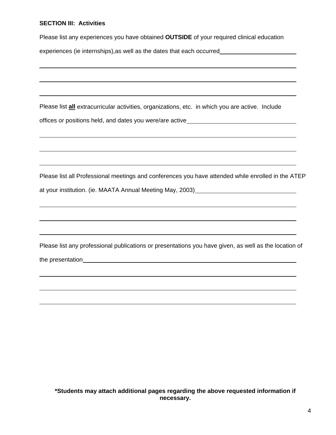#### **SECTION III: Activities**

L

 $\overline{a}$ 

 $\overline{a}$ 

 $\overline{a}$ 

Please list any experiences you have obtained **OUTSIDE** of your required clinical education

experiences (ie internships),as well as the dates that each occurred

Please list **all** extracurricular activities, organizations, etc. in which you are active. Include offices or positions held, and dates you were/are active

Please list all Professional meetings and conferences you have attended while enrolled in the ATEP at your institution. (ie. MAATA Annual Meeting May, 2003)

Please list any professional publications or presentations you have given, as well as the location of the presentation

**\*Students may attach additional pages regarding the above requested information if necessary.**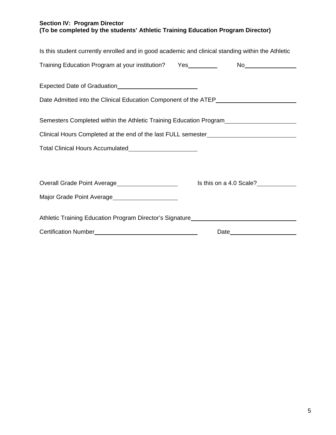#### **Section IV: Program Director (To be completed by the students' Athletic Training Education Program Director)**

| Is this student currently enrolled and in good academic and clinical standing within the Athletic |                         |  |  |  |  |  |
|---------------------------------------------------------------------------------------------------|-------------------------|--|--|--|--|--|
| Training Education Program at your institution? Yes_________                                      | No                      |  |  |  |  |  |
|                                                                                                   |                         |  |  |  |  |  |
| Date Admitted into the Clinical Education Component of the ATEP_________________                  |                         |  |  |  |  |  |
| Semesters Completed within the Athletic Training Education Program                                |                         |  |  |  |  |  |
| Clinical Hours Completed at the end of the last FULL semester___________________                  |                         |  |  |  |  |  |
| Total Clinical Hours Accumulated________________________                                          |                         |  |  |  |  |  |
| Overall Grade Point Average_____________________                                                  | Is this on a 4.0 Scale? |  |  |  |  |  |
| Major Grade Point Average_____________________                                                    |                         |  |  |  |  |  |
| Athletic Training Education Program Director's Signature________________________                  |                         |  |  |  |  |  |
|                                                                                                   |                         |  |  |  |  |  |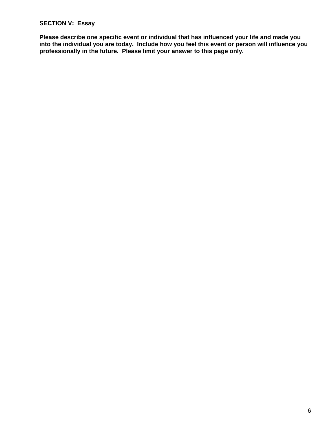### **SECTION V: Essay**

**Please describe one specific event or individual that has influenced your life and made you into the individual you are today. Include how you feel this event or person will influence you professionally in the future. Please limit your answer to this page only.**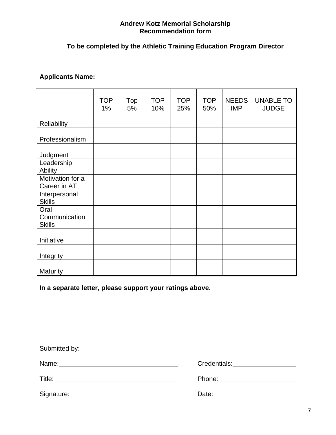#### **Andrew Kotz Memorial Scholarship Recommendation form**

## **To be completed by the Athletic Training Education Program Director**

## **Applicants Name:**

|                                        | <b>TOP</b><br>1% | Top<br>5% | <b>TOP</b><br>10% | <b>TOP</b><br>25% | <b>TOP</b><br>50% | <b>NEEDS</b><br><b>IMP</b> | <b>UNABLE TO</b><br><b>JUDGE</b> |
|----------------------------------------|------------------|-----------|-------------------|-------------------|-------------------|----------------------------|----------------------------------|
| Reliability                            |                  |           |                   |                   |                   |                            |                                  |
| Professionalism                        |                  |           |                   |                   |                   |                            |                                  |
| Judgment                               |                  |           |                   |                   |                   |                            |                                  |
| Leadership<br>Ability                  |                  |           |                   |                   |                   |                            |                                  |
| Motivation for a<br>Career in AT       |                  |           |                   |                   |                   |                            |                                  |
| Interpersonal<br><b>Skills</b>         |                  |           |                   |                   |                   |                            |                                  |
| Oral<br>Communication<br><b>Skills</b> |                  |           |                   |                   |                   |                            |                                  |
| Initiative                             |                  |           |                   |                   |                   |                            |                                  |
| Integrity                              |                  |           |                   |                   |                   |                            |                                  |
| <b>Maturity</b>                        |                  |           |                   |                   |                   |                            |                                  |

**In a separate letter, please support your ratings above.** 

Submitted by:

Name: Credentials:

Title: Note: Note: Phone: Phone: Phone: Phone: Phone: Phone: Phone: Phone: Phone: Phone: Phone: Phone: Phone: Phone: Phone: Phone: Phone: Phone: Phone: Phone: Phone: Phone: Phone: Phone: Phone: Phone: Phone: Phone: Phone:

Signature: Date: Date: Date: Date: Date: Date: Date: Date: Date: Date: Date: Date: Date: Date: Date: Date: Date: Date: Date: Date: Date: Date: Date: Date: Date: Date: Date: Date: Date: Date: Date: Date: Date: Date: Date: D